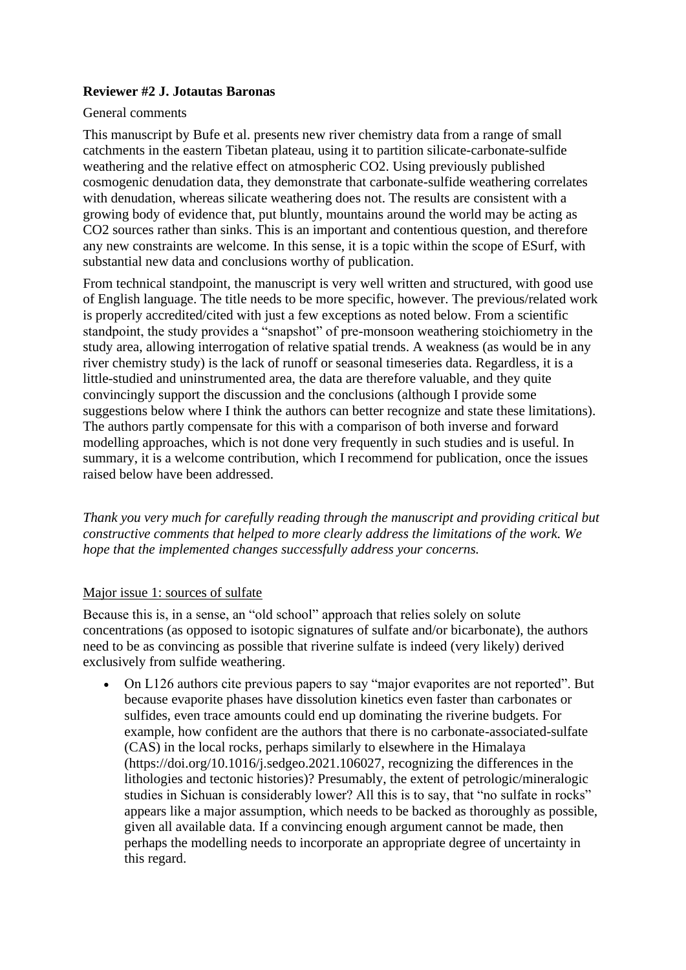# **Reviewer #2 J. Jotautas Baronas**

#### General comments

This manuscript by Bufe et al. presents new river chemistry data from a range of small catchments in the eastern Tibetan plateau, using it to partition silicate-carbonate-sulfide weathering and the relative effect on atmospheric CO2. Using previously published cosmogenic denudation data, they demonstrate that carbonate-sulfide weathering correlates with denudation, whereas silicate weathering does not. The results are consistent with a growing body of evidence that, put bluntly, mountains around the world may be acting as CO2 sources rather than sinks. This is an important and contentious question, and therefore any new constraints are welcome. In this sense, it is a topic within the scope of ESurf, with substantial new data and conclusions worthy of publication.

From technical standpoint, the manuscript is very well written and structured, with good use of English language. The title needs to be more specific, however. The previous/related work is properly accredited/cited with just a few exceptions as noted below. From a scientific standpoint, the study provides a "snapshot" of pre-monsoon weathering stoichiometry in the study area, allowing interrogation of relative spatial trends. A weakness (as would be in any river chemistry study) is the lack of runoff or seasonal timeseries data. Regardless, it is a little-studied and uninstrumented area, the data are therefore valuable, and they quite convincingly support the discussion and the conclusions (although I provide some suggestions below where I think the authors can better recognize and state these limitations). The authors partly compensate for this with a comparison of both inverse and forward modelling approaches, which is not done very frequently in such studies and is useful. In summary, it is a welcome contribution, which I recommend for publication, once the issues raised below have been addressed.

*Thank you very much for carefully reading through the manuscript and providing critical but constructive comments that helped to more clearly address the limitations of the work. We hope that the implemented changes successfully address your concerns.*

#### Major issue 1: sources of sulfate

Because this is, in a sense, an "old school" approach that relies solely on solute concentrations (as opposed to isotopic signatures of sulfate and/or bicarbonate), the authors need to be as convincing as possible that riverine sulfate is indeed (very likely) derived exclusively from sulfide weathering.

• On L126 authors cite previous papers to say "major evaporites are not reported". But because evaporite phases have dissolution kinetics even faster than carbonates or sulfides, even trace amounts could end up dominating the riverine budgets. For example, how confident are the authors that there is no carbonate-associated-sulfate (CAS) in the local rocks, perhaps similarly to elsewhere in the Himalaya (https://doi.org/10.1016/j.sedgeo.2021.106027, recognizing the differences in the lithologies and tectonic histories)? Presumably, the extent of petrologic/mineralogic studies in Sichuan is considerably lower? All this is to say, that "no sulfate in rocks" appears like a major assumption, which needs to be backed as thoroughly as possible, given all available data. If a convincing enough argument cannot be made, then perhaps the modelling needs to incorporate an appropriate degree of uncertainty in this regard.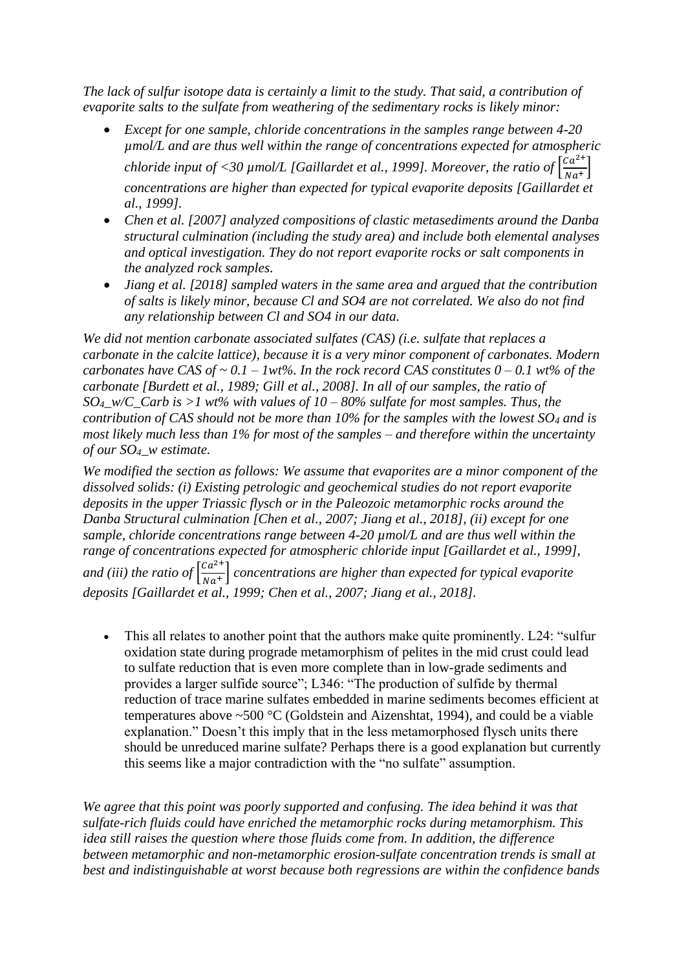*The lack of sulfur isotope data is certainly a limit to the study. That said, a contribution of evaporite salts to the sulfate from weathering of the sedimentary rocks is likely minor:*

- *Except for one sample, chloride concentrations in the samples range between 4-20 µmol/L and are thus well within the range of concentrations expected for atmospheric chloride input of <30 µmol/L [Gaillardet et al., 1999]. Moreover, the ratio of*  $\left[\frac{Ca^{2+}}{Net}\right]$  $\frac{du}{Na^+}$ *concentrations are higher than expected for typical evaporite deposits [Gaillardet et al., 1999].*
- *Chen et al. [2007] analyzed compositions of clastic metasediments around the Danba structural culmination (including the study area) and include both elemental analyses and optical investigation. They do not report evaporite rocks or salt components in the analyzed rock samples.*
- *Jiang et al. [2018] sampled waters in the same area and argued that the contribution of salts is likely minor, because Cl and SO4 are not correlated. We also do not find any relationship between Cl and SO4 in our data.*

*We did not mention carbonate associated sulfates (CAS) (i.e. sulfate that replaces a carbonate in the calcite lattice), because it is a very minor component of carbonates. Modern carbonates have CAS of ~ 0.1 – 1wt%. In the rock record CAS constitutes*  $0 - 0.1$  *wt% of the carbonate [Burdett et al., 1989; Gill et al., 2008]. In all of our samples, the ratio of SO4\_w/C\_Carb is >1 wt% with values of 10 – 80% sulfate for most samples. Thus, the contribution of CAS should not be more than 10% for the samples with the lowest SO<sup>4</sup> and is most likely much less than 1% for most of the samples – and therefore within the uncertainty of our SO4\_w estimate.*

*We modified the section as follows: We assume that evaporites are a minor component of the dissolved solids: (i) Existing petrologic and geochemical studies do not report evaporite deposits in the upper Triassic flysch or in the Paleozoic metamorphic rocks around the Danba Structural culmination [Chen et al., 2007; Jiang et al., 2018], (ii) except for one sample, chloride concentrations range between 4-20 µmol/L and are thus well within the range of concentrations expected for atmospheric chloride input [Gaillardet et al., 1999],*  and (iii) the ratio of  $\int_{N_{\text{c}}/N_{\text{c}}}^{Ca^{2+}}$  $\frac{du}{da^+}$  concentrations are higher than expected for typical evaporite *deposits [Gaillardet et al., 1999; Chen et al., 2007; Jiang et al., 2018].*

• This all relates to another point that the authors make quite prominently. L24: "sulfur oxidation state during prograde metamorphism of pelites in the mid crust could lead to sulfate reduction that is even more complete than in low-grade sediments and provides a larger sulfide source"; L346: "The production of sulfide by thermal reduction of trace marine sulfates embedded in marine sediments becomes efficient at temperatures above ~500 °C (Goldstein and Aizenshtat, 1994), and could be a viable explanation." Doesn't this imply that in the less metamorphosed flysch units there should be unreduced marine sulfate? Perhaps there is a good explanation but currently this seems like a major contradiction with the "no sulfate" assumption.

*We agree that this point was poorly supported and confusing. The idea behind it was that sulfate-rich fluids could have enriched the metamorphic rocks during metamorphism. This idea still raises the question where those fluids come from. In addition, the difference between metamorphic and non-metamorphic erosion-sulfate concentration trends is small at best and indistinguishable at worst because both regressions are within the confidence bands*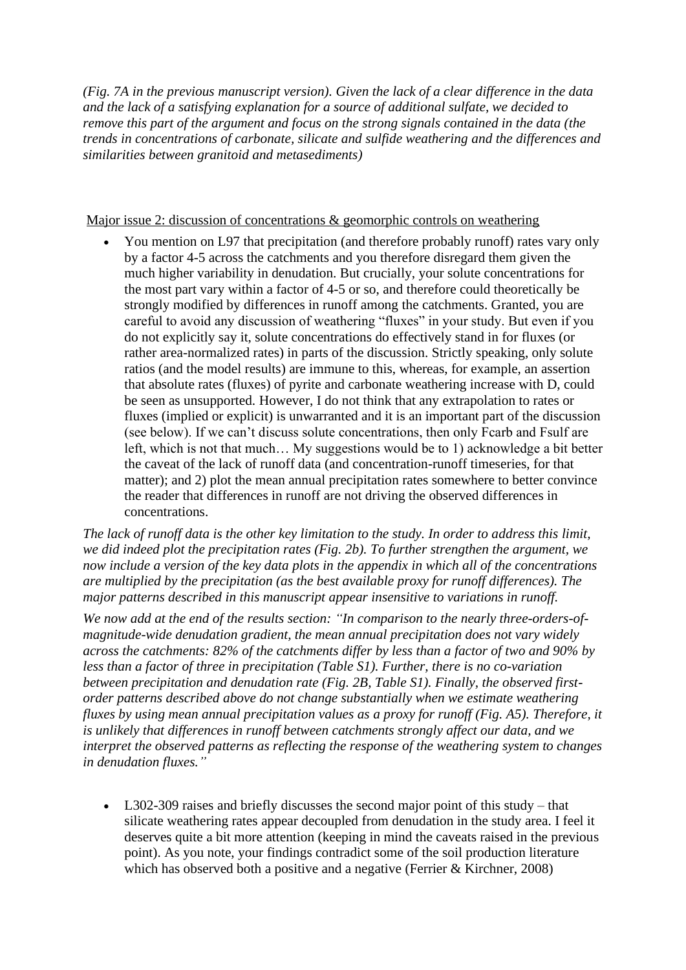*(Fig. 7A in the previous manuscript version). Given the lack of a clear difference in the data and the lack of a satisfying explanation for a source of additional sulfate, we decided to remove this part of the argument and focus on the strong signals contained in the data (the trends in concentrations of carbonate, silicate and sulfide weathering and the differences and similarities between granitoid and metasediments)* 

Major issue 2: discussion of concentrations & geomorphic controls on weathering

• You mention on L97 that precipitation (and therefore probably runoff) rates vary only by a factor 4-5 across the catchments and you therefore disregard them given the much higher variability in denudation. But crucially, your solute concentrations for the most part vary within a factor of 4-5 or so, and therefore could theoretically be strongly modified by differences in runoff among the catchments. Granted, you are careful to avoid any discussion of weathering "fluxes" in your study. But even if you do not explicitly say it, solute concentrations do effectively stand in for fluxes (or rather area-normalized rates) in parts of the discussion. Strictly speaking, only solute ratios (and the model results) are immune to this, whereas, for example, an assertion that absolute rates (fluxes) of pyrite and carbonate weathering increase with D, could be seen as unsupported. However, I do not think that any extrapolation to rates or fluxes (implied or explicit) is unwarranted and it is an important part of the discussion (see below). If we can't discuss solute concentrations, then only Fcarb and Fsulf are left, which is not that much… My suggestions would be to 1) acknowledge a bit better the caveat of the lack of runoff data (and concentration-runoff timeseries, for that matter); and 2) plot the mean annual precipitation rates somewhere to better convince the reader that differences in runoff are not driving the observed differences in concentrations.

*The lack of runoff data is the other key limitation to the study. In order to address this limit,*  we did indeed plot the precipitation rates (Fig. 2b). To further strengthen the argument, we *now include a version of the key data plots in the appendix in which all of the concentrations are multiplied by the precipitation (as the best available proxy for runoff differences). The major patterns described in this manuscript appear insensitive to variations in runoff.* 

*We now add at the end of the results section: "In comparison to the nearly three-orders-ofmagnitude-wide denudation gradient, the mean annual precipitation does not vary widely across the catchments: 82% of the catchments differ by less than a factor of two and 90% by less than a factor of three in precipitation (Table S1). Further, there is no co-variation between precipitation and denudation rate (Fig. 2B, Table S1). Finally, the observed firstorder patterns described above do not change substantially when we estimate weathering fluxes by using mean annual precipitation values as a proxy for runoff (Fig. A5). Therefore, it is unlikely that differences in runoff between catchments strongly affect our data, and we interpret the observed patterns as reflecting the response of the weathering system to changes in denudation fluxes."*

• L302-309 raises and briefly discusses the second major point of this study – that silicate weathering rates appear decoupled from denudation in the study area. I feel it deserves quite a bit more attention (keeping in mind the caveats raised in the previous point). As you note, your findings contradict some of the soil production literature which has observed both a positive and a negative (Ferrier & Kirchner, 2008)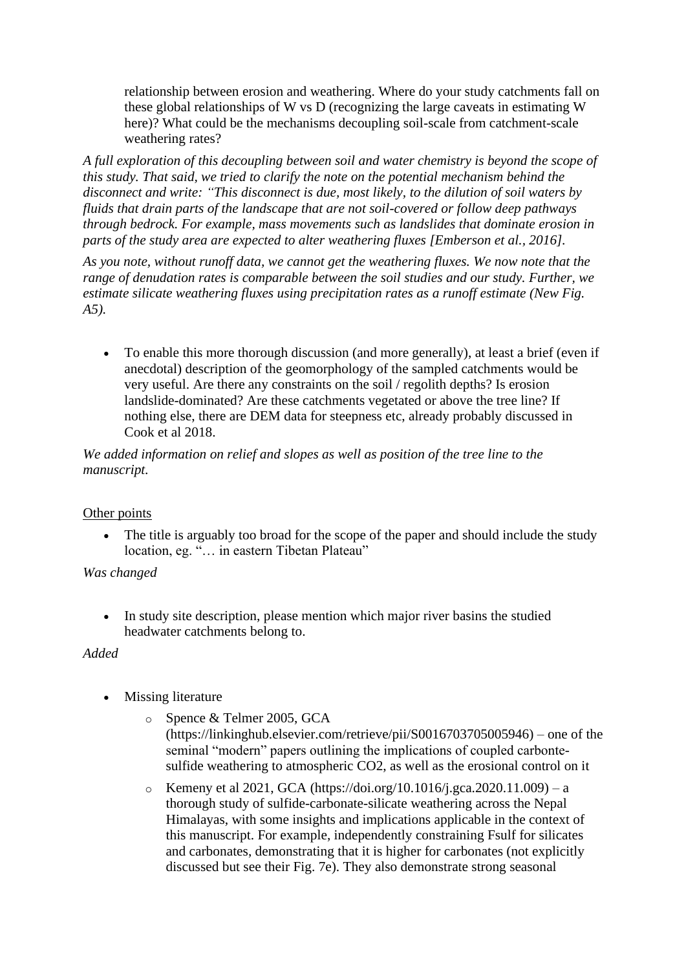relationship between erosion and weathering. Where do your study catchments fall on these global relationships of W vs D (recognizing the large caveats in estimating W here)? What could be the mechanisms decoupling soil-scale from catchment-scale weathering rates?

*A full exploration of this decoupling between soil and water chemistry is beyond the scope of this study. That said, we tried to clarify the note on the potential mechanism behind the disconnect and write: "This disconnect is due, most likely, to the dilution of soil waters by fluids that drain parts of the landscape that are not soil-covered or follow deep pathways through bedrock. For example, mass movements such as landslides that dominate erosion in parts of the study area are expected to alter weathering fluxes [Emberson et al., 2016].*

*As you note, without runoff data, we cannot get the weathering fluxes. We now note that the range of denudation rates is comparable between the soil studies and our study. Further, we estimate silicate weathering fluxes using precipitation rates as a runoff estimate (New Fig. A5).* 

• To enable this more thorough discussion (and more generally), at least a brief (even if anecdotal) description of the geomorphology of the sampled catchments would be very useful. Are there any constraints on the soil / regolith depths? Is erosion landslide-dominated? Are these catchments vegetated or above the tree line? If nothing else, there are DEM data for steepness etc, already probably discussed in Cook et al 2018.

*We added information on relief and slopes as well as position of the tree line to the manuscript.*

# Other points

The title is arguably too broad for the scope of the paper and should include the study location, eg. "… in eastern Tibetan Plateau"

# *Was changed*

• In study site description, please mention which major river basins the studied headwater catchments belong to.

#### *Added*

- Missing literature
	- o Spence & Telmer 2005, GCA (https://linkinghub.elsevier.com/retrieve/pii/S0016703705005946) – one of the seminal "modern" papers outlining the implications of coupled carbontesulfide weathering to atmospheric CO2, as well as the erosional control on it
	- o Kemeny et al 2021, GCA (https://doi.org/10.1016/j.gca.2020.11.009) a thorough study of sulfide-carbonate-silicate weathering across the Nepal Himalayas, with some insights and implications applicable in the context of this manuscript. For example, independently constraining Fsulf for silicates and carbonates, demonstrating that it is higher for carbonates (not explicitly discussed but see their Fig. 7e). They also demonstrate strong seasonal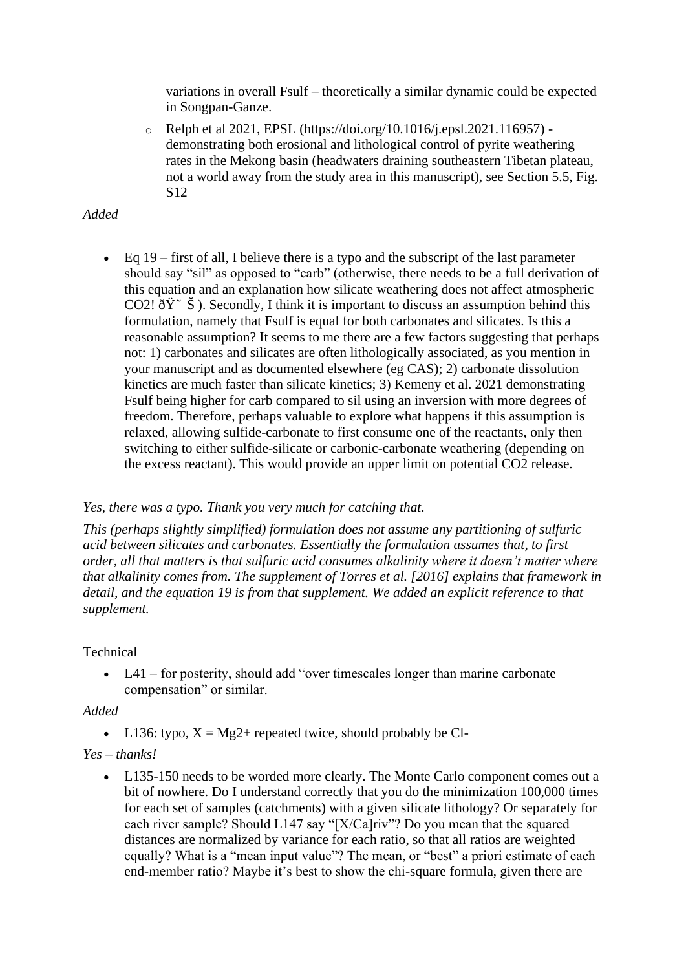variations in overall Fsulf – theoretically a similar dynamic could be expected in Songpan-Ganze.

o Relph et al 2021, EPSL (https://doi.org/10.1016/j.epsl.2021.116957) demonstrating both erosional and lithological control of pyrite weathering rates in the Mekong basin (headwaters draining southeastern Tibetan plateau, not a world away from the study area in this manuscript), see Section 5.5, Fig. S12

# *Added*

• Eq  $19$  – first of all, I believe there is a typo and the subscript of the last parameter should say "sil" as opposed to "carb" (otherwise, there needs to be a full derivation of this equation and an explanation how silicate weathering does not affect atmospheric CO2!  $\eth \ddot{Y}$ <sup> $\sim$ </sup>  $\ddot{S}$ ). Secondly, I think it is important to discuss an assumption behind this formulation, namely that Fsulf is equal for both carbonates and silicates. Is this a reasonable assumption? It seems to me there are a few factors suggesting that perhaps not: 1) carbonates and silicates are often lithologically associated, as you mention in your manuscript and as documented elsewhere (eg CAS); 2) carbonate dissolution kinetics are much faster than silicate kinetics; 3) Kemeny et al. 2021 demonstrating Fsulf being higher for carb compared to sil using an inversion with more degrees of freedom. Therefore, perhaps valuable to explore what happens if this assumption is relaxed, allowing sulfide-carbonate to first consume one of the reactants, only then switching to either sulfide-silicate or carbonic-carbonate weathering (depending on the excess reactant). This would provide an upper limit on potential CO2 release.

# *Yes, there was a typo. Thank you very much for catching that.*

*This (perhaps slightly simplified) formulation does not assume any partitioning of sulfuric acid between silicates and carbonates. Essentially the formulation assumes that, to first order, all that matters is that sulfuric acid consumes alkalinity where it doesn't matter where that alkalinity comes from. The supplement of Torres et al. [2016] explains that framework in detail, and the equation 19 is from that supplement. We added an explicit reference to that supplement.*

# Technical

• L41 – for posterity, should add "over timescales longer than marine carbonate" compensation" or similar.

# *Added*

• L136: typo,  $X = Mg2+$  repeated twice, should probably be Cl-

# *Yes – thanks!*

• L135-150 needs to be worded more clearly. The Monte Carlo component comes out a bit of nowhere. Do I understand correctly that you do the minimization 100,000 times for each set of samples (catchments) with a given silicate lithology? Or separately for each river sample? Should L147 say "[X/Ca]riv"? Do you mean that the squared distances are normalized by variance for each ratio, so that all ratios are weighted equally? What is a "mean input value"? The mean, or "best" a priori estimate of each end-member ratio? Maybe it's best to show the chi-square formula, given there are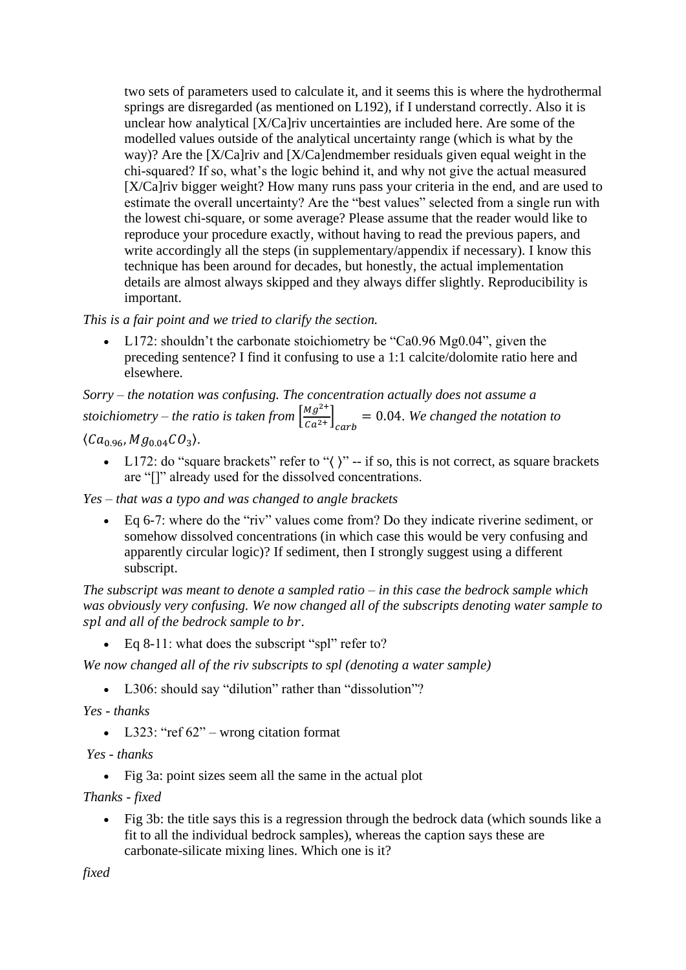two sets of parameters used to calculate it, and it seems this is where the hydrothermal springs are disregarded (as mentioned on L192), if I understand correctly. Also it is unclear how analytical [X/Ca]riv uncertainties are included here. Are some of the modelled values outside of the analytical uncertainty range (which is what by the way)? Are the [X/Ca]riv and [X/Ca]endmember residuals given equal weight in the chi-squared? If so, what's the logic behind it, and why not give the actual measured [X/Ca]riv bigger weight? How many runs pass your criteria in the end, and are used to estimate the overall uncertainty? Are the "best values" selected from a single run with the lowest chi-square, or some average? Please assume that the reader would like to reproduce your procedure exactly, without having to read the previous papers, and write accordingly all the steps (in supplementary/appendix if necessary). I know this technique has been around for decades, but honestly, the actual implementation details are almost always skipped and they always differ slightly. Reproducibility is important.

*This is a fair point and we tried to clarify the section.*

• L172: shouldn't the carbonate stoichiometry be "Ca0.96 Mg0.04", given the preceding sentence? I find it confusing to use a 1:1 calcite/dolomite ratio here and elsewhere.

*Sorry – the notation was confusing. The concentration actually does not assume a stoichiometry – the ratio is taken from*  $\left[\frac{Mg^{2+}}{g^{2+}}\right]$  $\left[\frac{m_g}{c a^{2+}}\right]_{c a r b} = 0.04$ . We changed the notation to

 $\langle Ca_{0.96}, Mg_{0.04}CO_3 \rangle.$ 

• L172: do "square brackets" refer to " $\langle$ )" -- if so, this is not correct, as square brackets are "[]" already used for the dissolved concentrations.

*Yes – that was a typo and was changed to angle brackets*

• Eq 6-7: where do the "riv" values come from? Do they indicate riverine sediment, or somehow dissolved concentrations (in which case this would be very confusing and apparently circular logic)? If sediment, then I strongly suggest using a different subscript.

*The subscript was meant to denote a sampled ratio – in this case the bedrock sample which was obviously very confusing. We now changed all of the subscripts denoting water sample to and all of the bedrock sample to .* 

• Eq 8-11: what does the subscript "spl" refer to?

*We now changed all of the riv subscripts to spl (denoting a water sample)* 

• L306: should say "dilution" rather than "dissolution"?

*Yes - thanks*

• L323: "ref  $62$ " – wrong citation format

*Yes - thanks*

• Fig 3a: point sizes seem all the same in the actual plot

*Thanks - fixed*

• Fig 3b: the title says this is a regression through the bedrock data (which sounds like a fit to all the individual bedrock samples), whereas the caption says these are carbonate-silicate mixing lines. Which one is it?

*fixed*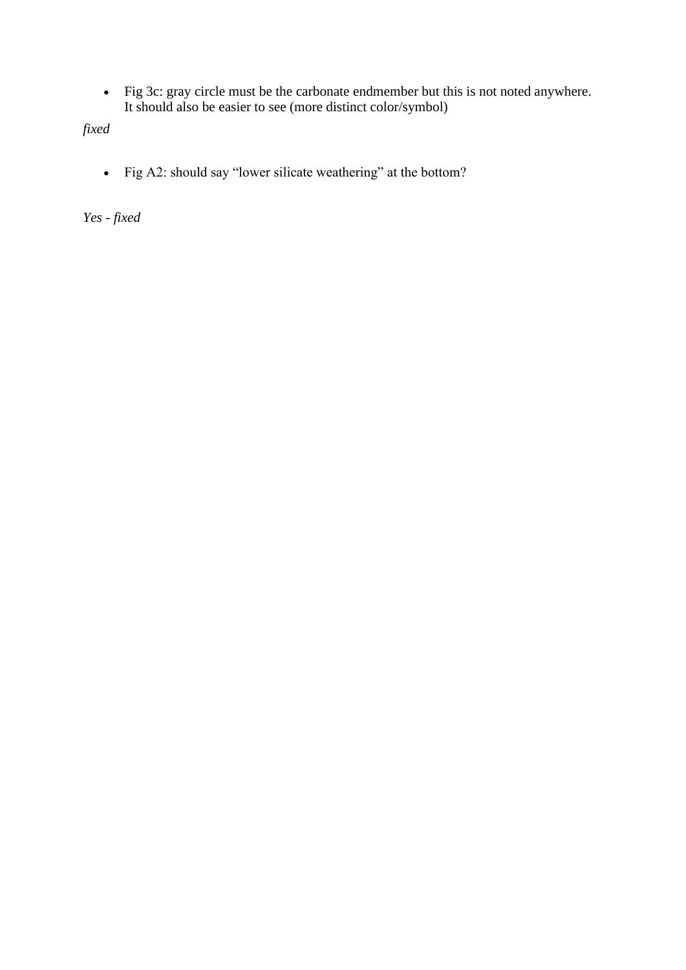• Fig 3c: gray circle must be the carbonate endmember but this is not noted anywhere. It should also be easier to see (more distinct color/symbol)

*fixed*

• Fig A2: should say "lower silicate weathering" at the bottom?

*Yes - fixed*